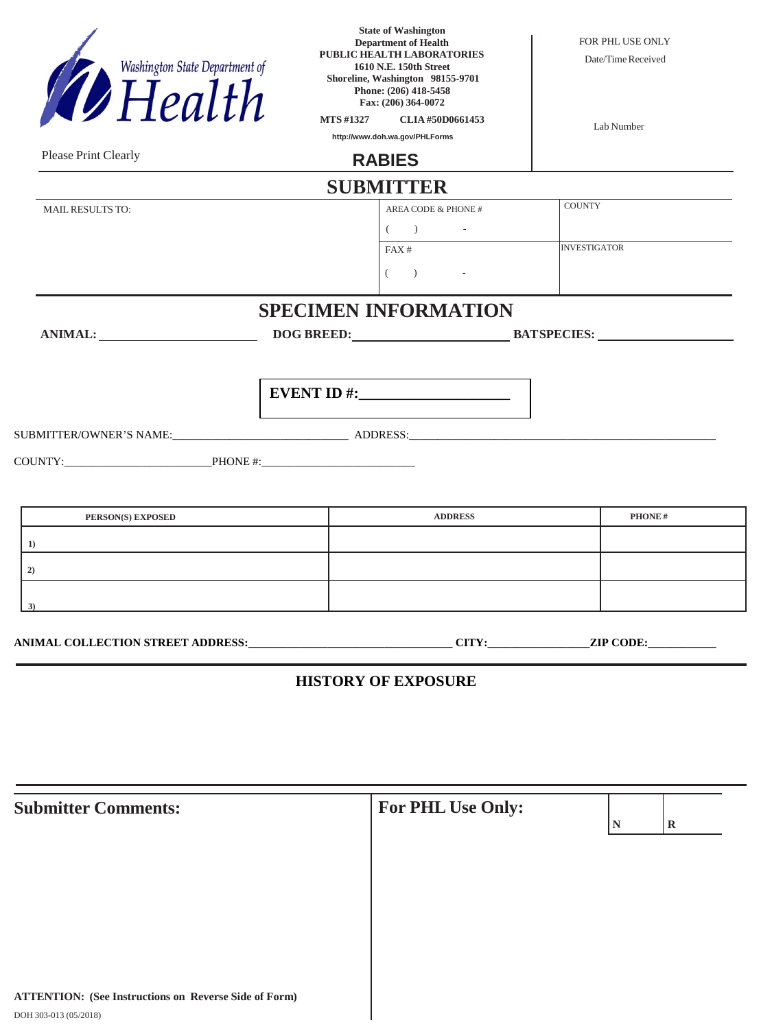|                                | <b>HISTORY OF EXPOSURE</b>                                                                                        |                                        |
|--------------------------------|-------------------------------------------------------------------------------------------------------------------|----------------------------------------|
| 3)                             |                                                                                                                   |                                        |
| 1)<br>2)                       |                                                                                                                   |                                        |
| PERSON(S) EXPOSED              | <b>ADDRESS</b>                                                                                                    | <b>PHONE#</b>                          |
|                                |                                                                                                                   |                                        |
|                                |                                                                                                                   |                                        |
|                                | EVENT ID #: $\_$                                                                                                  |                                        |
| ANIMAL:                        | DOG BREED: BATSPECIES:                                                                                            |                                        |
|                                | <b>SPECIMEN INFORMATION</b>                                                                                       |                                        |
|                                | $( \hspace{7mm} ) \hspace{7mm} - \hspace{7mm}$                                                                    |                                        |
|                                | $($ ) -<br>FAX#                                                                                                   | <b>INVESTIGATOR</b>                    |
| <b>MAIL RESULTS TO:</b>        | <b>SUBMITTER</b><br>AREA CODE & PHONE #                                                                           | COUNTY                                 |
| Please Print Clearly           | <b>RABIES</b>                                                                                                     |                                        |
|                                | <b>MTS#1327</b><br>CLIA#50D0661453<br>http://www.doh.wa.gov/PHLForms                                              | Lab Number                             |
| Washington State Department of | Shoreline, Washington 98155-9701<br>Phone: (206) 418-5458<br>Fax: (206) 364-0072                                  |                                        |
|                                | <b>State of Washington</b><br><b>Department of Health</b><br>PUBLIC HEALTH LABORATORIES<br>1610 N.E. 150th Street | FOR PHL USE ONLY<br>Date/Time Received |